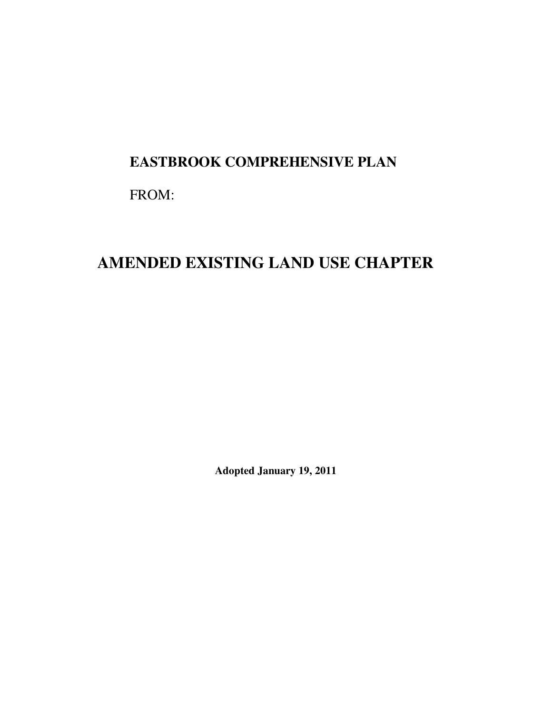# **EASTBROOK COMPREHENSIVE PLAN**

FROM:

# **AMENDED EXISTING LAND USE CHAPTER**

**Adopted January 19, 2011**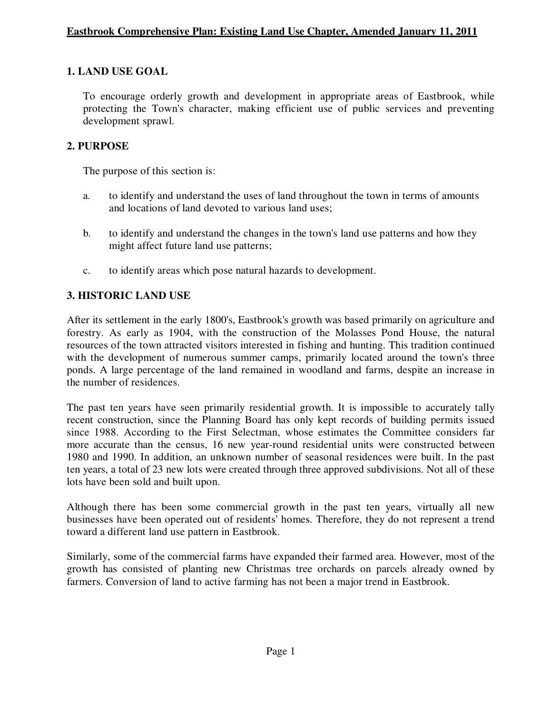#### **1. LAND USE GOAL**

To encourage orderly growth and development in appropriate areas of Eastbrook, while protecting the Town's character, making efficient use of public services and preventing development sprawl.

#### **2. PURPOSE**

The purpose of this section is:

- a. to identify and understand the uses of land throughout the town in terms of amounts and locations of land devoted to various land uses;
- b. to identify and understand the changes in the town's land use patterns and how they might affect future land use patterns;
- c. to identify areas which pose natural hazards to development.

### **3. HISTORIC LAND USE**

After its settlement in the early 1800's, Eastbrook's growth was based primarily on agriculture and forestry. As early as 1904, with the construction of the Molasses Pond House, the natural resources of the town attracted visitors interested in fishing and hunting. This tradition continued with the development of numerous summer camps, primarily located around the town's three ponds. A large percentage of the land remained in woodland and farms, despite an increase in the number of residences.

The past ten years have seen primarily residential growth. It is impossible to accurately tally recent construction, since the Planning Board has only kept records of building permits issued since 1988. According to the First Selectman, whose estimates the Committee considers far more accurate than the census, 16 new year-round residential units were constructed between 1980 and 1990. In addition, an unknown number of seasonal residences were built. In the past ten years, a total of 23 new lots were created through three approved subdivisions. Not all of these lots have been sold and built upon.

Although there has been some commercial growth in the past ten years, virtually all new businesses have been operated out of residents' homes. Therefore, they do not represent a trend toward a different land use pattern in Eastbrook.

Similarly, some of the commercial farms have expanded their farmed area. However, most of the growth has consisted of planting new Christmas tree orchards on parcels already owned by farmers. Conversion of land to active farming has not been a major trend in Eastbrook.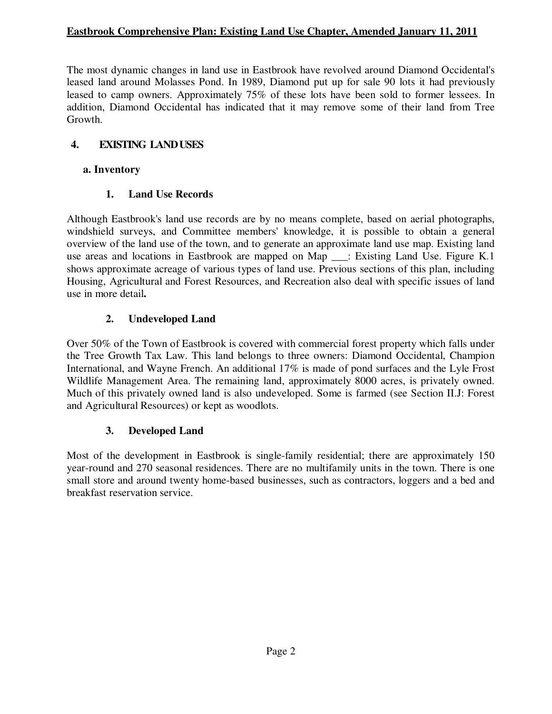The most dynamic changes in land use in Eastbrook have revolved around Diamond Occidental's leased land around Molasses Pond. In 1989, Diamond put up for sale 90 lots it had previously leased to camp owners. Approximately 75% of these lots have been sold to former lessees. In addition, Diamond Occidental has indicated that it may remove some of their land from Tree Growth.

#### **4. EXISTING LAND USES**

#### **a. Inventory**

#### **1. Land Use Records**

Although Eastbrook's land use records are by no means complete, based on aerial photographs, windshield surveys, and Committee members' knowledge, it is possible to obtain a general overview of the land use of the town, and to generate an approximate land use map. Existing land use areas and locations in Eastbrook are mapped on Map \_\_\_: Existing Land Use. Figure K.1 shows approximate acreage of various types of land use. Previous sections of this plan, including Housing, Agricultural and Forest Resources, and Recreation also deal with specific issues of land use in more detail**.** 

#### **2. Undeveloped Land**

Over 50% of the Town of Eastbrook is covered with commercial forest property which falls under the Tree Growth Tax Law. This land belongs to three owners: Diamond Occidental, Champion International, and Wayne French. An additional 17% is made of pond surfaces and the Lyle Frost Wildlife Management Area. The remaining land, approximately 8000 acres, is privately owned. Much of this privately owned land is also undeveloped. Some is farmed (see Section II.J: Forest and Agricultural Resources) or kept as woodlots.

#### **3. Developed Land**

Most of the development in Eastbrook is single-family residential; there are approximately 150 year-round and 270 seasonal residences. There are no multifamily units in the town. There is one small store and around twenty home-based businesses, such as contractors, loggers and a bed and breakfast reservation service.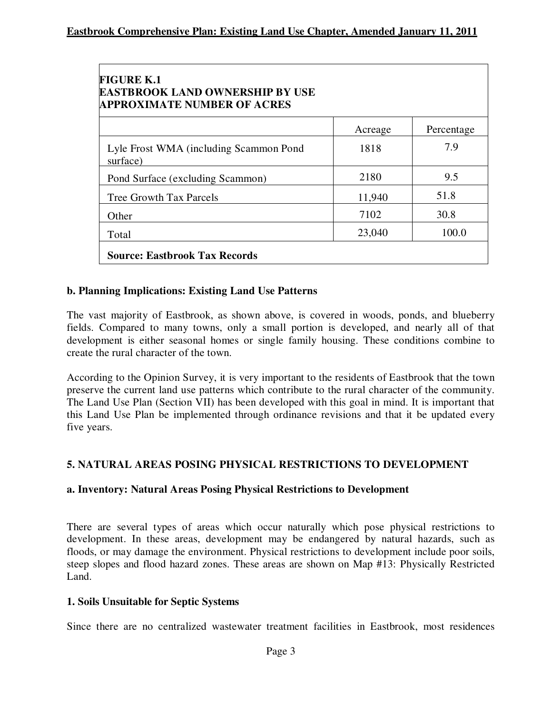| <b>FIGURE K.1</b><br><b>EASTBROOK LAND OWNERSHIP BY USE</b><br><b>APPROXIMATE NUMBER OF ACRES</b> |         |            |
|---------------------------------------------------------------------------------------------------|---------|------------|
|                                                                                                   | Acreage | Percentage |
| Lyle Frost WMA (including Scammon Pond<br>surface)                                                | 1818    | 7.9        |
| Pond Surface (excluding Scammon)                                                                  | 2180    | 9.5        |
| <b>Tree Growth Tax Parcels</b>                                                                    | 11,940  | 51.8       |
| Other                                                                                             | 7102    | 30.8       |
| Total                                                                                             | 23,040  | 100.0      |
| <b>Source: Eastbrook Tax Records</b>                                                              |         |            |

#### **b. Planning Implications: Existing Land Use Patterns**

The vast majority of Eastbrook, as shown above, is covered in woods, ponds, and blueberry fields. Compared to many towns, only a small portion is developed, and nearly all of that development is either seasonal homes or single family housing. These conditions combine to create the rural character of the town.

According to the Opinion Survey, it is very important to the residents of Eastbrook that the town preserve the current land use patterns which contribute to the rural character of the community. The Land Use Plan (Section VII) has been developed with this goal in mind. It is important that this Land Use Plan be implemented through ordinance revisions and that it be updated every five years.

#### **5. NATURAL AREAS POSING PHYSICAL RESTRICTIONS TO DEVELOPMENT**

#### **a. Inventory: Natural Areas Posing Physical Restrictions to Development**

There are several types of areas which occur naturally which pose physical restrictions to development. In these areas, development may be endangered by natural hazards, such as floods, or may damage the environment. Physical restrictions to development include poor soils, steep slopes and flood hazard zones. These areas are shown on Map #13: Physically Restricted Land.

#### **1. Soils Unsuitable for Septic Systems**

Since there are no centralized wastewater treatment facilities in Eastbrook, most residences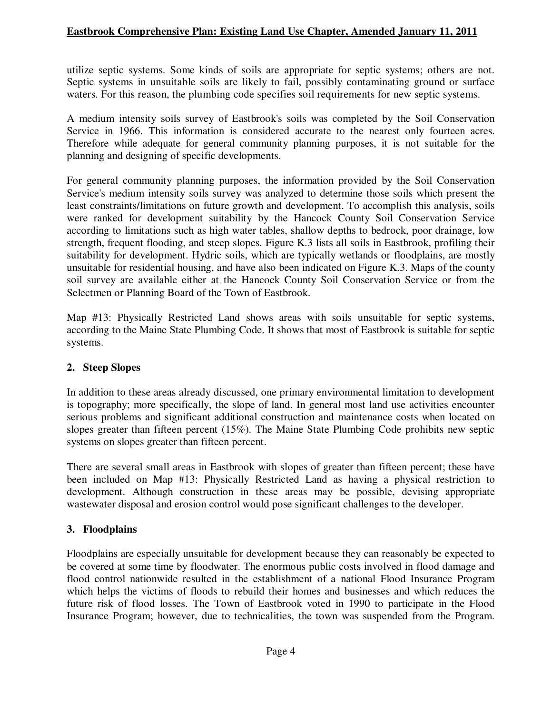utilize septic systems. Some kinds of soils are appropriate for septic systems; others are not. Septic systems in unsuitable soils are likely to fail, possibly contaminating ground or surface waters. For this reason, the plumbing code specifies soil requirements for new septic systems.

A medium intensity soils survey of Eastbrook's soils was completed by the Soil Conservation Service in 1966. This information is considered accurate to the nearest only fourteen acres. Therefore while adequate for general community planning purposes, it is not suitable for the planning and designing of specific developments.

For general community planning purposes, the information provided by the Soil Conservation Service's medium intensity soils survey was analyzed to determine those soils which present the least constraints/limitations on future growth and development. To accomplish this analysis, soils were ranked for development suitability by the Hancock County Soil Conservation Service according to limitations such as high water tables, shallow depths to bedrock, poor drainage, low strength, frequent flooding, and steep slopes. Figure K.3 lists all soils in Eastbrook, profiling their suitability for development. Hydric soils, which are typically wetlands or floodplains, are mostly unsuitable for residential housing, and have also been indicated on Figure K.3. Maps of the county soil survey are available either at the Hancock County Soil Conservation Service or from the Selectmen or Planning Board of the Town of Eastbrook.

Map #13: Physically Restricted Land shows areas with soils unsuitable for septic systems, according to the Maine State Plumbing Code. It shows that most of Eastbrook is suitable for septic systems.

#### **2. Steep Slopes**

In addition to these areas already discussed, one primary environmental limitation to development is topography; more specifically, the slope of land. In general most land use activities encounter serious problems and significant additional construction and maintenance costs when located on slopes greater than fifteen percent (15%). The Maine State Plumbing Code prohibits new septic systems on slopes greater than fifteen percent.

There are several small areas in Eastbrook with slopes of greater than fifteen percent; these have been included on Map #13: Physically Restricted Land as having a physical restriction to development. Although construction in these areas may be possible, devising appropriate wastewater disposal and erosion control would pose significant challenges to the developer.

#### **3. Floodplains**

Floodplains are especially unsuitable for development because they can reasonably be expected to be covered at some time by floodwater. The enormous public costs involved in flood damage and flood control nationwide resulted in the establishment of a national Flood Insurance Program which helps the victims of floods to rebuild their homes and businesses and which reduces the future risk of flood losses. The Town of Eastbrook voted in 1990 to participate in the Flood Insurance Program; however, due to technicalities, the town was suspended from the Program.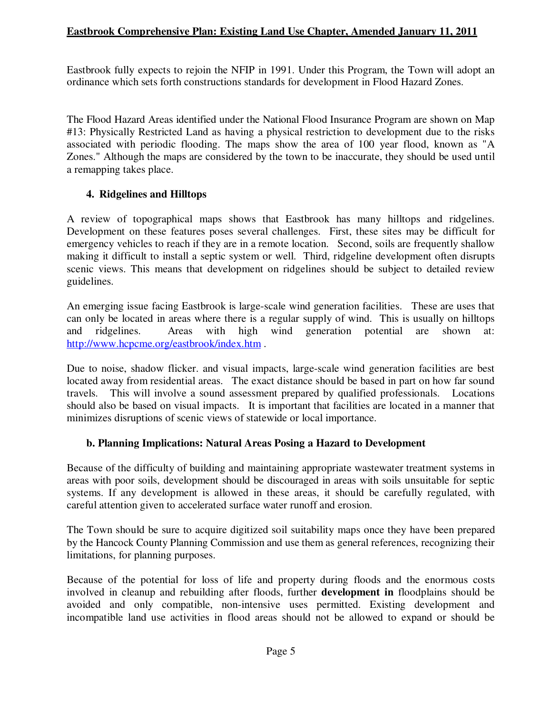Eastbrook fully expects to rejoin the NFIP in 1991. Under this Program, the Town will adopt an ordinance which sets forth constructions standards for development in Flood Hazard Zones.

The Flood Hazard Areas identified under the National Flood Insurance Program are shown on Map #13: Physically Restricted Land as having a physical restriction to development due to the risks associated with periodic flooding. The maps show the area of 100 year flood, known as "A Zones." Although the maps are considered by the town to be inaccurate, they should be used until a remapping takes place.

#### **4. Ridgelines and Hilltops**

A review of topographical maps shows that Eastbrook has many hilltops and ridgelines. Development on these features poses several challenges. First, these sites may be difficult for emergency vehicles to reach if they are in a remote location. Second, soils are frequently shallow making it difficult to install a septic system or well. Third, ridgeline development often disrupts scenic views. This means that development on ridgelines should be subject to detailed review guidelines.

An emerging issue facing Eastbrook is large-scale wind generation facilities. These are uses that can only be located in areas where there is a regular supply of wind. This is usually on hilltops and ridgelines. Areas with high wind generation potential are shown at: http://www.hcpcme.org/eastbrook/index.htm .

Due to noise, shadow flicker. and visual impacts, large-scale wind generation facilities are best located away from residential areas. The exact distance should be based in part on how far sound travels. This will involve a sound assessment prepared by qualified professionals. Locations should also be based on visual impacts. It is important that facilities are located in a manner that minimizes disruptions of scenic views of statewide or local importance.

#### **b. Planning Implications: Natural Areas Posing a Hazard to Development**

Because of the difficulty of building and maintaining appropriate wastewater treatment systems in areas with poor soils, development should be discouraged in areas with soils unsuitable for septic systems. If any development is allowed in these areas, it should be carefully regulated, with careful attention given to accelerated surface water runoff and erosion.

The Town should be sure to acquire digitized soil suitability maps once they have been prepared by the Hancock County Planning Commission and use them as general references, recognizing their limitations, for planning purposes.

Because of the potential for loss of life and property during floods and the enormous costs involved in cleanup and rebuilding after floods, further **development in** floodplains should be avoided and only compatible, non-intensive uses permitted. Existing development and incompatible land use activities in flood areas should not be allowed to expand or should be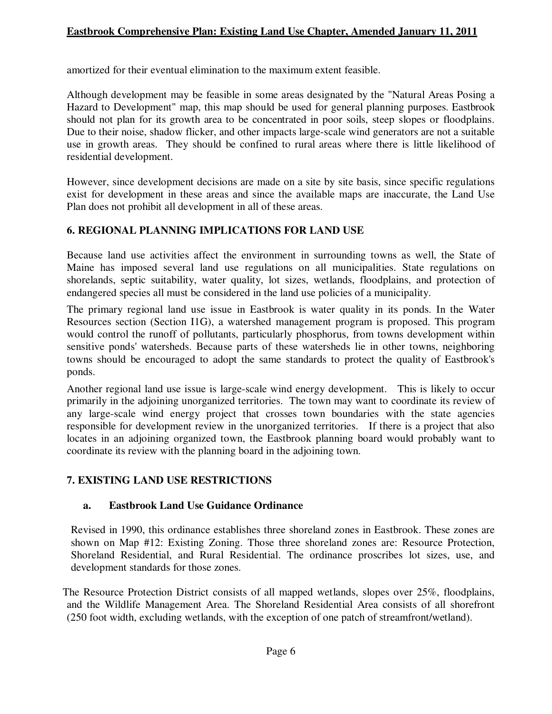amortized for their eventual elimination to the maximum extent feasible.

Although development may be feasible in some areas designated by the "Natural Areas Posing a Hazard to Development" map, this map should be used for general planning purposes. Eastbrook should not plan for its growth area to be concentrated in poor soils, steep slopes or floodplains. Due to their noise, shadow flicker, and other impacts large-scale wind generators are not a suitable use in growth areas. They should be confined to rural areas where there is little likelihood of residential development.

However, since development decisions are made on a site by site basis, since specific regulations exist for development in these areas and since the available maps are inaccurate, the Land Use Plan does not prohibit all development in all of these areas.

#### **6. REGIONAL PLANNING IMPLICATIONS FOR LAND USE**

Because land use activities affect the environment in surrounding towns as well, the State of Maine has imposed several land use regulations on all municipalities. State regulations on shorelands, septic suitability, water quality, lot sizes, wetlands, floodplains, and protection of endangered species all must be considered in the land use policies of a municipality.

The primary regional land use issue in Eastbrook is water quality in its ponds. In the Water Resources section (Section I1G), a watershed management program is proposed. This program would control the runoff of pollutants, particularly phosphorus, from towns development within sensitive ponds' watersheds. Because parts of these watersheds lie in other towns, neighboring towns should be encouraged to adopt the same standards to protect the quality of Eastbrook's ponds.

Another regional land use issue is large-scale wind energy development. This is likely to occur primarily in the adjoining unorganized territories. The town may want to coordinate its review of any large-scale wind energy project that crosses town boundaries with the state agencies responsible for development review in the unorganized territories. If there is a project that also locates in an adjoining organized town, the Eastbrook planning board would probably want to coordinate its review with the planning board in the adjoining town.

#### **7. EXISTING LAND USE RESTRICTIONS**

#### **a. Eastbrook Land Use Guidance Ordinance**

Revised in 1990, this ordinance establishes three shoreland zones in Eastbrook. These zones are shown on Map #12: Existing Zoning. Those three shoreland zones are: Resource Protection, Shoreland Residential, and Rural Residential. The ordinance proscribes lot sizes, use, and development standards for those zones.

The Resource Protection District consists of all mapped wetlands, slopes over 25%, floodplains, and the Wildlife Management Area. The Shoreland Residential Area consists of all shorefront (250 foot width, excluding wetlands, with the exception of one patch of streamfront/wetland).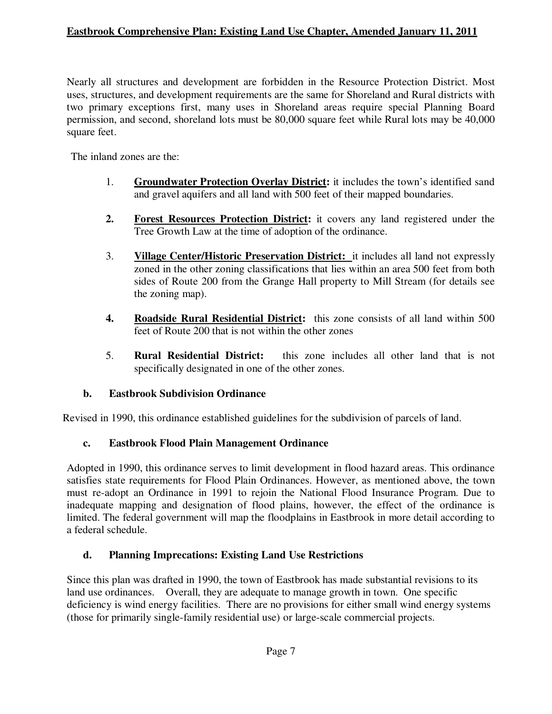Nearly all structures and development are forbidden in the Resource Protection District. Most uses, structures, and development requirements are the same for Shoreland and Rural districts with two primary exceptions first, many uses in Shoreland areas require special Planning Board permission, and second, shoreland lots must be 80,000 square feet while Rural lots may be 40,000 square feet.

The inland zones are the:

- 1. **Groundwater Protection Overlay District:** it includes the town's identified sand and gravel aquifers and all land with 500 feet of their mapped boundaries.
- **2. Forest Resources Protection District:** it covers any land registered under the Tree Growth Law at the time of adoption of the ordinance.
- 3. **Village Center/Historic Preservation District:** it includes all land not expressly zoned in the other zoning classifications that lies within an area 500 feet from both sides of Route 200 from the Grange Hall property to Mill Stream (for details see the zoning map).
- **4. Roadside Rural Residential District:** this zone consists of all land within 500 feet of Route 200 that is not within the other zones
- 5. **Rural Residential District:** this zone includes all other land that is not specifically designated in one of the other zones.

# **b. Eastbrook Subdivision Ordinance**

Revised in 1990, this ordinance established guidelines for the subdivision of parcels of land.

# **c. Eastbrook Flood Plain Management Ordinance**

Adopted in 1990, this ordinance serves to limit development in flood hazard areas. This ordinance satisfies state requirements for Flood Plain Ordinances. However, as mentioned above, the town must re-adopt an Ordinance in 1991 to rejoin the National Flood Insurance Program. Due to inadequate mapping and designation of flood plains, however, the effect of the ordinance is limited. The federal government will map the floodplains in Eastbrook in more detail according to a federal schedule.

# **d. Planning Imprecations: Existing Land Use Restrictions**

Since this plan was drafted in 1990, the town of Eastbrook has made substantial revisions to its land use ordinances. Overall, they are adequate to manage growth in town. One specific deficiency is wind energy facilities. There are no provisions for either small wind energy systems (those for primarily single-family residential use) or large-scale commercial projects.